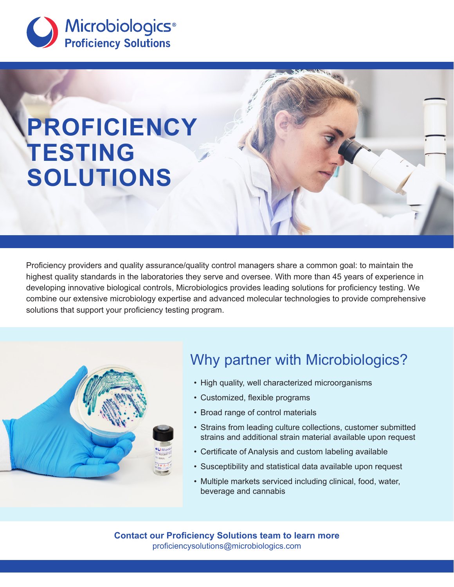

# **PROFICIENCY TESTING SOLUTIONS**

Proficiency providers and quality assurance/quality control managers share a common goal: to maintain the highest quality standards in the laboratories they serve and oversee. With more than 45 years of experience in developing innovative biological controls, Microbiologics provides leading solutions for proficiency testing. We combine our extensive microbiology expertise and advanced molecular technologies to provide comprehensive solutions that support your proficiency testing program.



# Why partner with Microbiologics?

- High quality, well characterized microorganisms
- Customized, flexible programs
- Broad range of control materials
- Strains from leading culture collections, customer submitted strains and additional strain material available upon request
- Certificate of Analysis and custom labeling available
- Susceptibility and statistical data available upon request
- Multiple markets serviced including clinical, food, water, beverage and cannabis

**Contact our Proficiency Solutions team to learn more** proficiencysolutions@microbiologics.com